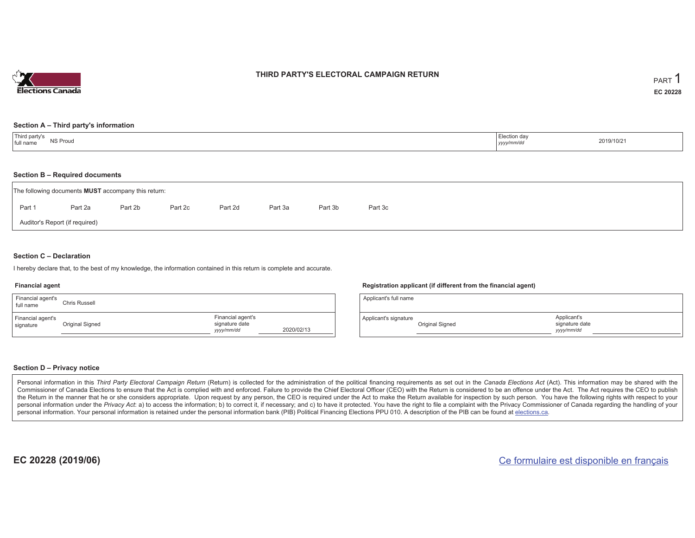

#### **THIRD PARTY'S ELECTORAL CAMPAIGN RETURN**

#### **Section A – Third party's information**

| Third party's<br>Election day<br>NS Proud<br>2019/10/21<br>full name<br>yyyy/mm/dd |  |
|------------------------------------------------------------------------------------|--|
|------------------------------------------------------------------------------------|--|

#### **Section B – Required documents**

|                                | The following documents <b>MUST</b> accompany this return: |         |         |         |         |         |         |  |  |  |
|--------------------------------|------------------------------------------------------------|---------|---------|---------|---------|---------|---------|--|--|--|
| Part 1                         | Part 2a                                                    | Part 2b | Part 2c | Part 2d | Part 3a | Part 3b | Part 3c |  |  |  |
| Auditor's Report (if required) |                                                            |         |         |         |         |         |         |  |  |  |

#### **Section C – Declaration**

I hereby declare that, to the best of my knowledge, the information contained in this return is complete and accurate.

#### **Financial agent**

| Financial agent's<br>full name | Chris Russell   |                                                   |            |
|--------------------------------|-----------------|---------------------------------------------------|------------|
| Financial agent's<br>signature | Original Signed | Financial agent's<br>signature date<br>yyyy/mm/dd | 2020/02/13 |

#### **Registration applicant (if different from the financial agent)**

| Applicant's full name |                 |                                             |  |
|-----------------------|-----------------|---------------------------------------------|--|
| Applicant's signature | Original Signed | Applicant's<br>signature date<br>yyyy/mm/dd |  |

#### **Section D – Privacy notice**

Personal information in this Third Party Electoral Campaign Return (Return) is collected for the administration of the political financing requirements as set out in the Canada Elections Act (Act). This information may be Commissioner of Canada Elections to ensure that the Act is complied with and enforced. Failure to provide the Chief Electoral Officer (CEO) with the Return is considered to be an offence under the Act. The Act requires the the Return in the manner that he or she considers appropriate. Upon request by any person, the CEO is required under the Act to make the Return available for inspection by such person. You have the following rights with re personal information under the Privacy Act: a) to access the information; b) to correct it, if necessary; and c) to have it protected. You have the right to file a complaint with the Privacy Commissioner of Canada regardin personal information. Your personal information is retained under the personal information bank (PIB) Political Financing Elections PPU 010. A description of the PIB can be found at elections.ca.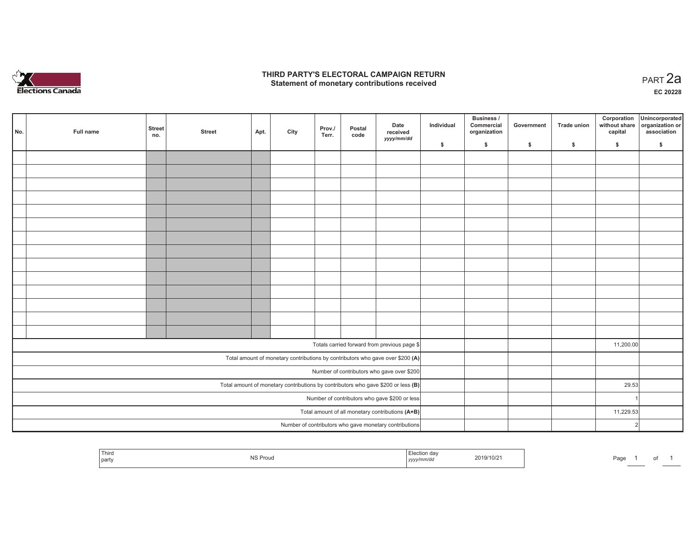

#### **THIRD PARTY'S ELECTORAL CAMPAIGN RETURN HIRD PARTY'S ELECTORAL CAMPAIGN RETURN<br>Statement of monetary contributions received PART 2a**

**EC 20228**

| No.                                                                                 | Full name | <b>Street</b><br>no. | <b>Street</b> | Apt. | City | Prov./<br>Terr. | Postal<br>code | Date<br>received<br>yyyy/mm/dd                                                 | Individual | Business /<br>Commercial<br>organization | Government | Trade union | Corporation<br>without share<br>capital | Unincorporated<br>organization or<br>association |
|-------------------------------------------------------------------------------------|-----------|----------------------|---------------|------|------|-----------------|----------------|--------------------------------------------------------------------------------|------------|------------------------------------------|------------|-------------|-----------------------------------------|--------------------------------------------------|
|                                                                                     |           |                      |               |      |      |                 |                |                                                                                | \$         | \$                                       | \$         | \$          | \$                                      | \$                                               |
|                                                                                     |           |                      |               |      |      |                 |                |                                                                                |            |                                          |            |             |                                         |                                                  |
|                                                                                     |           |                      |               |      |      |                 |                |                                                                                |            |                                          |            |             |                                         |                                                  |
|                                                                                     |           |                      |               |      |      |                 |                |                                                                                |            |                                          |            |             |                                         |                                                  |
|                                                                                     |           |                      |               |      |      |                 |                |                                                                                |            |                                          |            |             |                                         |                                                  |
|                                                                                     |           |                      |               |      |      |                 |                |                                                                                |            |                                          |            |             |                                         |                                                  |
|                                                                                     |           |                      |               |      |      |                 |                |                                                                                |            |                                          |            |             |                                         |                                                  |
|                                                                                     |           |                      |               |      |      |                 |                |                                                                                |            |                                          |            |             |                                         |                                                  |
|                                                                                     |           |                      |               |      |      |                 |                |                                                                                |            |                                          |            |             |                                         |                                                  |
|                                                                                     |           |                      |               |      |      |                 |                |                                                                                |            |                                          |            |             |                                         |                                                  |
|                                                                                     |           |                      |               |      |      |                 |                |                                                                                |            |                                          |            |             |                                         |                                                  |
|                                                                                     |           |                      |               |      |      |                 |                |                                                                                |            |                                          |            |             |                                         |                                                  |
|                                                                                     |           |                      |               |      |      |                 |                |                                                                                |            |                                          |            |             |                                         |                                                  |
|                                                                                     |           |                      |               |      |      |                 |                |                                                                                |            |                                          |            |             |                                         |                                                  |
|                                                                                     |           |                      |               |      |      |                 |                |                                                                                |            |                                          |            |             |                                         |                                                  |
|                                                                                     |           |                      |               |      |      |                 |                | Totals carried forward from previous page \$                                   |            |                                          |            |             | 11,200.00                               |                                                  |
|                                                                                     |           |                      |               |      |      |                 |                | Total amount of monetary contributions by contributors who gave over \$200 (A) |            |                                          |            |             |                                         |                                                  |
|                                                                                     |           |                      |               |      |      |                 |                | Number of contributors who gave over \$200                                     |            |                                          |            |             |                                         |                                                  |
| Total amount of monetary contributions by contributors who gave \$200 or less $(B)$ |           |                      |               |      |      |                 |                |                                                                                |            |                                          |            |             | 29.53                                   |                                                  |
| Number of contributors who gave \$200 or less                                       |           |                      |               |      |      |                 |                |                                                                                |            |                                          |            |             |                                         |                                                  |
| Total amount of all monetary contributions (A+B)                                    |           |                      |               |      |      |                 |                |                                                                                |            |                                          |            |             | 11,229.53                               |                                                  |
|                                                                                     |           |                      |               |      |      | 2               |                |                                                                                |            |                                          |            |             |                                         |                                                  |
|                                                                                     |           |                      |               |      |      |                 |                | Number of contributors who gave monetary contributions                         |            |                                          |            |             |                                         |                                                  |

| Third<br>l partv | <b>NS Proug</b> | --<br>  yyyy/mm/aa | 2019/10/21 | Page |  |  |
|------------------|-----------------|--------------------|------------|------|--|--|
|                  |                 |                    |            |      |  |  |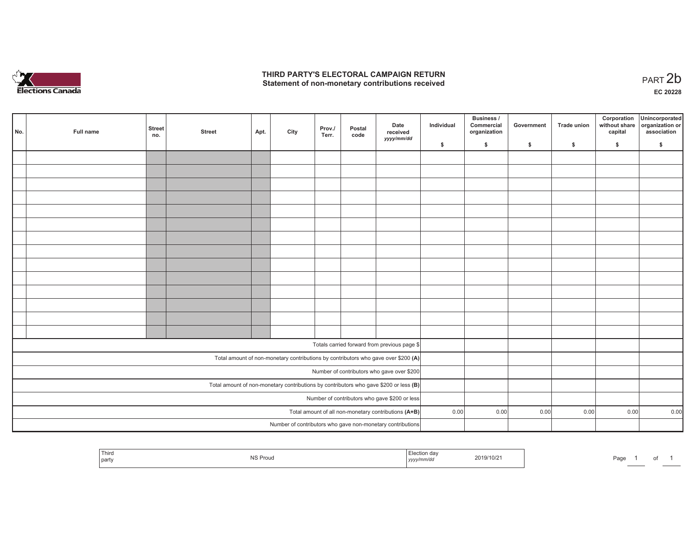

### **THIRD PARTY'S ELECTORAL CAMPAIGN RETURN**  THIRD PARTY'S ELECTORAL CAMPAIGN RETURN<br>Statement of non-monetary contributions received<br> **PART 2b**

| No.                                                                                     | Full name | <b>Street</b><br>no. | <b>Street</b> | Apt. | City | Prov./<br>Terr. | Postal<br>code | Date<br>received<br>yyyy/mm/dd                             | Individual | <b>Business /</b><br>Commercial<br>organization | Government | Trade union | Corporation<br>capital | Unincorporated<br>without share organization or<br>association |
|-----------------------------------------------------------------------------------------|-----------|----------------------|---------------|------|------|-----------------|----------------|------------------------------------------------------------|------------|-------------------------------------------------|------------|-------------|------------------------|----------------------------------------------------------------|
|                                                                                         |           |                      |               |      |      |                 |                |                                                            | \$         | \$                                              | \$         | \$          | \$                     | \$                                                             |
|                                                                                         |           |                      |               |      |      |                 |                |                                                            |            |                                                 |            |             |                        |                                                                |
|                                                                                         |           |                      |               |      |      |                 |                |                                                            |            |                                                 |            |             |                        |                                                                |
|                                                                                         |           |                      |               |      |      |                 |                |                                                            |            |                                                 |            |             |                        |                                                                |
|                                                                                         |           |                      |               |      |      |                 |                |                                                            |            |                                                 |            |             |                        |                                                                |
|                                                                                         |           |                      |               |      |      |                 |                |                                                            |            |                                                 |            |             |                        |                                                                |
|                                                                                         |           |                      |               |      |      |                 |                |                                                            |            |                                                 |            |             |                        |                                                                |
|                                                                                         |           |                      |               |      |      |                 |                |                                                            |            |                                                 |            |             |                        |                                                                |
|                                                                                         |           |                      |               |      |      |                 |                |                                                            |            |                                                 |            |             |                        |                                                                |
|                                                                                         |           |                      |               |      |      |                 |                |                                                            |            |                                                 |            |             |                        |                                                                |
|                                                                                         |           |                      |               |      |      |                 |                |                                                            |            |                                                 |            |             |                        |                                                                |
|                                                                                         |           |                      |               |      |      |                 |                |                                                            |            |                                                 |            |             |                        |                                                                |
|                                                                                         |           |                      |               |      |      |                 |                |                                                            |            |                                                 |            |             |                        |                                                                |
|                                                                                         |           |                      |               |      |      |                 |                |                                                            |            |                                                 |            |             |                        |                                                                |
|                                                                                         |           |                      |               |      |      |                 |                |                                                            |            |                                                 |            |             |                        |                                                                |
|                                                                                         |           |                      |               |      |      |                 |                | Totals carried forward from previous page \$               |            |                                                 |            |             |                        |                                                                |
|                                                                                         |           |                      |               |      |      |                 |                |                                                            |            |                                                 |            |             |                        |                                                                |
| Total amount of non-monetary contributions by contributors who gave over \$200 (A)      |           |                      |               |      |      |                 |                |                                                            |            |                                                 |            |             |                        |                                                                |
| Number of contributors who gave over \$200                                              |           |                      |               |      |      |                 |                |                                                            |            |                                                 |            |             |                        |                                                                |
| Total amount of non-monetary contributions by contributors who gave \$200 or less $(B)$ |           |                      |               |      |      |                 |                |                                                            |            |                                                 |            |             |                        |                                                                |
| Number of contributors who gave \$200 or less                                           |           |                      |               |      |      |                 |                |                                                            | 0.00       |                                                 |            |             |                        |                                                                |
| Total amount of all non-monetary contributions (A+B)                                    |           |                      |               |      |      |                 |                |                                                            |            | 0.00                                            | 0.00       | 0.00        | 0.00                   | 0.00                                                           |
|                                                                                         |           |                      |               |      |      |                 |                | Number of contributors who gave non-monetary contributions |            |                                                 |            |             |                        |                                                                |

|  | Third<br>l party | $\sim$<br>гои<br>כיוו | ı dav<br>זי<br>mm<br>,,,,, | $19/10/2$ .<br>1 J I | $\sim$<br>-auc |  | וש |  |
|--|------------------|-----------------------|----------------------------|----------------------|----------------|--|----|--|
|--|------------------|-----------------------|----------------------------|----------------------|----------------|--|----|--|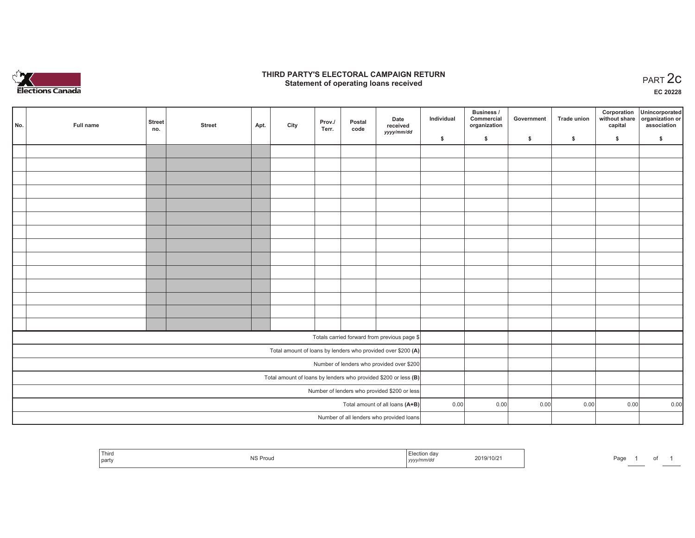

### **THIRD PARTY'S ELECTORAL CAMPAIGN RETURN STATE:** PERSON SELECTORAL CAMPAIGN RETURN<br>
Statement of operating loans received

**EC 20228**

|                                                                 | No. | Full name | <b>Street</b><br>no. | <b>Street</b> | Apt. | City | Prov./<br>Terr. | Postal<br>code | Date<br>received                                             | Individual | Business /<br>Commercial<br>organization | Government | Trade union | Corporation<br>capital | Unincorporated<br>without share organization or<br>association |
|-----------------------------------------------------------------|-----|-----------|----------------------|---------------|------|------|-----------------|----------------|--------------------------------------------------------------|------------|------------------------------------------|------------|-------------|------------------------|----------------------------------------------------------------|
|                                                                 |     |           |                      |               |      |      |                 |                | yyyy/mm/dd                                                   | \$         | \$                                       | \$         | \$          | \$                     | \$                                                             |
|                                                                 |     |           |                      |               |      |      |                 |                |                                                              |            |                                          |            |             |                        |                                                                |
|                                                                 |     |           |                      |               |      |      |                 |                |                                                              |            |                                          |            |             |                        |                                                                |
|                                                                 |     |           |                      |               |      |      |                 |                |                                                              |            |                                          |            |             |                        |                                                                |
|                                                                 |     |           |                      |               |      |      |                 |                |                                                              |            |                                          |            |             |                        |                                                                |
|                                                                 |     |           |                      |               |      |      |                 |                |                                                              |            |                                          |            |             |                        |                                                                |
|                                                                 |     |           |                      |               |      |      |                 |                |                                                              |            |                                          |            |             |                        |                                                                |
|                                                                 |     |           |                      |               |      |      |                 |                |                                                              |            |                                          |            |             |                        |                                                                |
|                                                                 |     |           |                      |               |      |      |                 |                |                                                              |            |                                          |            |             |                        |                                                                |
|                                                                 |     |           |                      |               |      |      |                 |                |                                                              |            |                                          |            |             |                        |                                                                |
|                                                                 |     |           |                      |               |      |      |                 |                |                                                              |            |                                          |            |             |                        |                                                                |
|                                                                 |     |           |                      |               |      |      |                 |                |                                                              |            |                                          |            |             |                        |                                                                |
|                                                                 |     |           |                      |               |      |      |                 |                |                                                              |            |                                          |            |             |                        |                                                                |
|                                                                 |     |           |                      |               |      |      |                 |                |                                                              |            |                                          |            |             |                        |                                                                |
|                                                                 |     |           |                      |               |      |      |                 |                |                                                              |            |                                          |            |             |                        |                                                                |
|                                                                 |     |           |                      |               |      |      |                 |                | Totals carried forward from previous page \$                 |            |                                          |            |             |                        |                                                                |
|                                                                 |     |           |                      |               |      |      |                 |                | Total amount of loans by lenders who provided over \$200 (A) |            |                                          |            |             |                        |                                                                |
| Number of lenders who provided over \$200                       |     |           |                      |               |      |      |                 |                |                                                              |            |                                          |            |             |                        |                                                                |
| Total amount of loans by lenders who provided \$200 or less (B) |     |           |                      |               |      |      |                 |                |                                                              |            |                                          |            |             |                        |                                                                |
| Number of lenders who provided \$200 or less                    |     |           |                      |               |      |      |                 |                |                                                              |            |                                          |            |             |                        |                                                                |
| Total amount of all loans (A+B)                                 |     |           |                      |               |      |      |                 |                | 0.00                                                         | 0.00       | 0.00                                     | 0.00       | 0.00        | 0.00                   |                                                                |
|                                                                 |     |           |                      |               |      |      |                 |                | Number of all lenders who provided loans                     |            |                                          |            |             |                        |                                                                |

| Third<br>party | NS Proud | ∃ection dav<br>$yyyy$ , $uu$ | 2019/10/2 | Page |  |  |
|----------------|----------|------------------------------|-----------|------|--|--|
|                |          |                              |           |      |  |  |

 $\sim$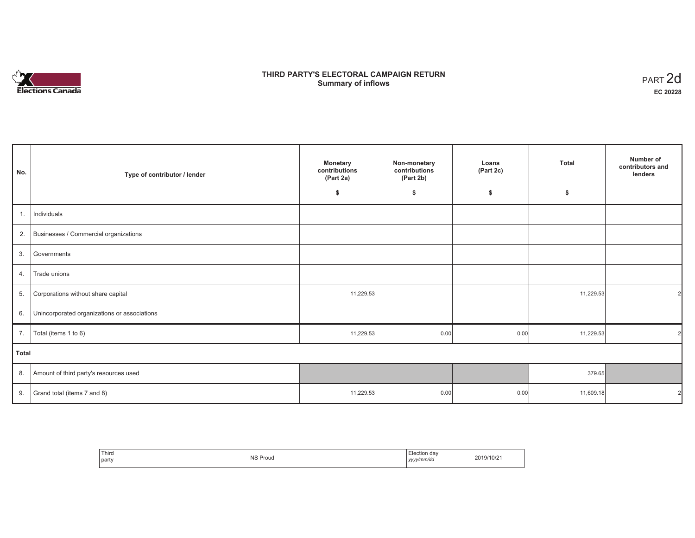# **Elections Canada**

## **THIRD PARTY'S ELECTORAL CAMPAIGN RETURN Summary of inflows**

| PART <sub>2d</sub> |
|--------------------|
| EC 20228           |

| No.   | Type of contributor / lender                 | <b>Monetary</b><br>contributions<br>(Part 2a) | Non-monetary<br>contributions<br>(Part 2b) | Loans<br>(Part 2c) | <b>Total</b> | Number of<br>contributors and<br>lenders |
|-------|----------------------------------------------|-----------------------------------------------|--------------------------------------------|--------------------|--------------|------------------------------------------|
|       |                                              | \$                                            | \$                                         | \$                 | \$           |                                          |
| 1.    | Individuals                                  |                                               |                                            |                    |              |                                          |
| 2.    | Businesses / Commercial organizations        |                                               |                                            |                    |              |                                          |
| 3.    | Governments                                  |                                               |                                            |                    |              |                                          |
| 4.    | Trade unions                                 |                                               |                                            |                    |              |                                          |
| 5.    | Corporations without share capital           | 11,229.53                                     |                                            |                    | 11,229.53    | 21                                       |
| 6.    | Unincorporated organizations or associations |                                               |                                            |                    |              |                                          |
| 7.    | Total (items 1 to 6)                         | 11,229.53                                     | 0.00                                       | 0.00               | 11,229.53    | $\mathcal{D}$                            |
| Total |                                              |                                               |                                            |                    |              |                                          |
| 8.    | Amount of third party's resources used       |                                               |                                            |                    | 379.65       |                                          |
| 9.    | Grand total (items 7 and 8)                  | 11,229.53                                     | 0.00                                       | 0.00               | 11,609.18    | 21                                       |

| ' Third<br>the contract of the contract of<br>  party | <b>NS Proud</b> | $\overline{\phantom{a}}$<br>Election dav<br>yyyy/mm/dd | 2019/10/21 |
|-------------------------------------------------------|-----------------|--------------------------------------------------------|------------|
|-------------------------------------------------------|-----------------|--------------------------------------------------------|------------|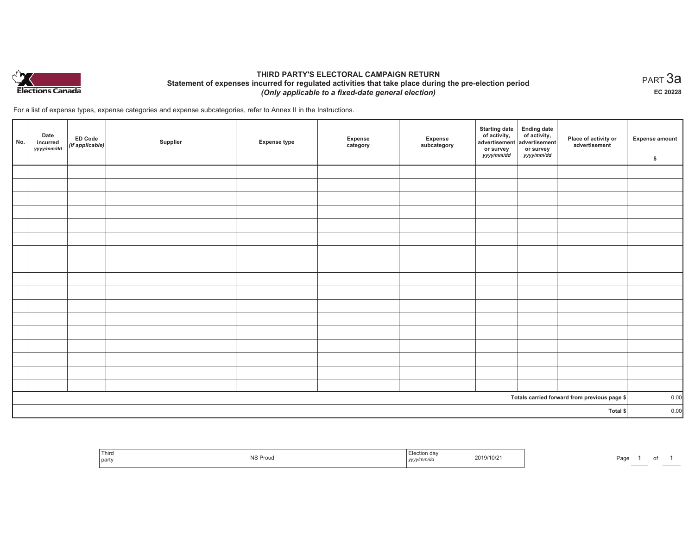

## **THIRD PARTY'S ELECTORAL CAMPAIGN RETURN Statement of expenses incurred for regulated activities that take place during the pre-election period**  *(Only applicable to a fixed-date general election)*

For a list of expense types, expense categories and expense subcategories, refer to Annex II in the Instructions.

| No. | Date<br>incurred<br>yyyy/mm/dd | <b>ED Code</b><br>$(if\,applied$ | Supplier | <b>Expense type</b> | Expense<br>category | Expense<br>subcategory | <b>Starting date</b><br>of activity,<br>advertisement<br>or survey<br>yyyy/mm/dd | Ending date<br>of activity,<br>advertisement<br>or survey<br>yyyy/mm/dd | Place of activity or<br>advertisement        | <b>Expense amount</b><br>\$ |
|-----|--------------------------------|----------------------------------|----------|---------------------|---------------------|------------------------|----------------------------------------------------------------------------------|-------------------------------------------------------------------------|----------------------------------------------|-----------------------------|
|     |                                |                                  |          |                     |                     |                        |                                                                                  |                                                                         |                                              |                             |
|     |                                |                                  |          |                     |                     |                        |                                                                                  |                                                                         |                                              |                             |
|     |                                |                                  |          |                     |                     |                        |                                                                                  |                                                                         |                                              |                             |
|     |                                |                                  |          |                     |                     |                        |                                                                                  |                                                                         |                                              |                             |
|     |                                |                                  |          |                     |                     |                        |                                                                                  |                                                                         |                                              |                             |
|     |                                |                                  |          |                     |                     |                        |                                                                                  |                                                                         |                                              |                             |
|     |                                |                                  |          |                     |                     |                        |                                                                                  |                                                                         |                                              |                             |
|     |                                |                                  |          |                     |                     |                        |                                                                                  |                                                                         |                                              |                             |
|     |                                |                                  |          |                     |                     |                        |                                                                                  |                                                                         |                                              |                             |
|     |                                |                                  |          |                     |                     |                        |                                                                                  |                                                                         |                                              |                             |
|     |                                |                                  |          |                     |                     |                        |                                                                                  |                                                                         |                                              |                             |
|     |                                |                                  |          |                     |                     |                        |                                                                                  |                                                                         |                                              |                             |
|     |                                |                                  |          |                     |                     |                        |                                                                                  |                                                                         |                                              |                             |
|     |                                |                                  |          |                     |                     |                        |                                                                                  |                                                                         |                                              |                             |
|     |                                |                                  |          |                     |                     |                        |                                                                                  |                                                                         |                                              |                             |
|     |                                |                                  |          |                     |                     |                        |                                                                                  |                                                                         |                                              |                             |
|     |                                |                                  |          |                     |                     |                        |                                                                                  |                                                                         |                                              |                             |
|     |                                |                                  |          |                     |                     |                        |                                                                                  |                                                                         | Totals carried forward from previous page \$ | 0.00<br>0.00                |
|     |                                |                                  | Total \$ |                     |                     |                        |                                                                                  |                                                                         |                                              |                             |

| Election day<br>Third<br>2019/10/21<br>NS Proud<br>Page<br>.<br>  party<br>  yyyy/mm/dd |  |  |  |
|-----------------------------------------------------------------------------------------|--|--|--|
|-----------------------------------------------------------------------------------------|--|--|--|

 $_{\sf PART}$ 3a **EC 20228**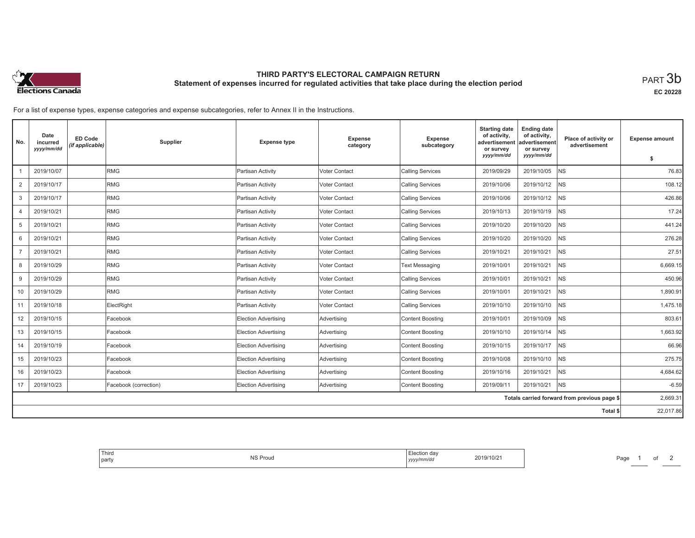

# **THIRD PARTY'S ELECTORAL CAMPAIGN RETURN Statement of expenses incurred for regulated activities that take place during the election period**<br>PART  $3\mathsf{b}$

**EC 20228**

For a list of expense types, expense categories and expense subcategories, refer to Annex II in the Instructions.

| No.            | Date<br>incurred<br>yyyy/mm/dd | <b>ED Code</b><br>(if applicable) | Supplier              | <b>Expense type</b>  | Expense<br>category | <b>Expense</b><br>subcategory | <b>Starting date</b><br>of activity,<br>advertisement<br>or survey | <b>Ending date</b><br>of activity,<br>advertisement<br>or survey | Place of activity or<br>advertisement        | <b>Expense amount</b> |
|----------------|--------------------------------|-----------------------------------|-----------------------|----------------------|---------------------|-------------------------------|--------------------------------------------------------------------|------------------------------------------------------------------|----------------------------------------------|-----------------------|
|                |                                |                                   |                       |                      |                     |                               | yyyy/mm/dd                                                         | yyyy/mm/dd                                                       |                                              | \$                    |
|                | 2019/10/07                     |                                   | <b>RMG</b>            | Partisan Activity    | Voter Contact       | <b>Calling Services</b>       | 2019/09/29                                                         | 2019/10/05                                                       | <b>NS</b>                                    | 76.83                 |
| $\overline{2}$ | 2019/10/17                     |                                   | RMG                   | Partisan Activity    | Voter Contact       | <b>Calling Services</b>       | 2019/10/06                                                         | 2019/10/12                                                       | <b>NS</b>                                    | 108.12                |
| 3              | 2019/10/17                     |                                   | <b>RMG</b>            | Partisan Activity    | Voter Contact       | <b>Calling Services</b>       | 2019/10/06                                                         | 2019/10/12                                                       | <b>NS</b>                                    | 426.86                |
| 4              | 2019/10/21                     |                                   | RMG                   | Partisan Activity    | Voter Contact       | <b>Calling Services</b>       | 2019/10/13                                                         | 2019/10/19                                                       | <b>NS</b>                                    | 17.24                 |
| 5              | 2019/10/21                     |                                   | RMG                   | Partisan Activity    | Voter Contact       | <b>Calling Services</b>       | 2019/10/20                                                         | 2019/10/20                                                       | <b>NS</b>                                    | 441.24                |
| 6              | 2019/10/21                     |                                   | RMG                   | Partisan Activity    | Voter Contact       | <b>Calling Services</b>       | 2019/10/20                                                         | 2019/10/20                                                       | <b>NS</b>                                    | 276.28                |
| $\overline{7}$ | 2019/10/21                     |                                   | RMG                   | Partisan Activity    | Voter Contact       | <b>Calling Services</b>       | 2019/10/21                                                         | 2019/10/21                                                       | <b>NS</b>                                    | 27.51                 |
| 8              | 2019/10/29                     |                                   | RMG                   | Partisan Activity    | Voter Contact       | <b>Text Messaging</b>         | 2019/10/01                                                         | 2019/10/21                                                       | <b>NS</b>                                    | 6,669.15              |
| 9              | 2019/10/29                     |                                   | RMG                   | Partisan Activity    | Voter Contact       | <b>Calling Services</b>       | 2019/10/01                                                         | 2019/10/21                                                       | <b>NS</b>                                    | 450.96                |
| 10             | 2019/10/29                     |                                   | RMG                   | Partisan Activity    | Voter Contact       | <b>Calling Services</b>       | 2019/10/01                                                         | 2019/10/21                                                       | <b>NS</b>                                    | 1,890.91              |
| 11             | 2019/10/18                     |                                   | ElectRight            | Partisan Activity    | Voter Contact       | <b>Calling Services</b>       | 2019/10/10                                                         | 2019/10/10                                                       | <b>NS</b>                                    | 1,475.18              |
| 12             | 2019/10/15                     |                                   | Facebook              | Election Advertising | Advertising         | <b>Content Boosting</b>       | 2019/10/01                                                         | 2019/10/09                                                       | <b>NS</b>                                    | 803.61                |
| 13             | 2019/10/15                     |                                   | Facebook              | Election Advertising | Advertising         | <b>Content Boosting</b>       | 2019/10/10                                                         | 2019/10/14                                                       | <b>NS</b>                                    | 1,663.92              |
| 14             | 2019/10/19                     |                                   | Facebook              | Election Advertising | Advertising         | <b>Content Boosting</b>       | 2019/10/15                                                         | 2019/10/17                                                       | <b>NS</b>                                    | 66.96                 |
| 15             | 2019/10/23                     |                                   | Facebook              | Election Advertising | Advertising         | <b>Content Boosting</b>       | 2019/10/08                                                         | 2019/10/10                                                       | NS.                                          | 275.75                |
| 16             | 2019/10/23                     |                                   | Facebook              | Election Advertising | Advertising         | Content Boosting              | 2019/10/16                                                         | 2019/10/21                                                       | <b>NS</b>                                    | 4,684.62              |
| 17             | 2019/10/23                     |                                   | Facebook (correction) | Election Advertising | Advertising         | <b>Content Boosting</b>       | 2019/09/11                                                         | 2019/10/21                                                       | <b>NS</b>                                    | $-6.59$               |
|                |                                |                                   |                       |                      |                     |                               |                                                                    |                                                                  | Totals carried forward from previous page \$ | 2,669.31              |
|                |                                |                                   |                       |                      |                     |                               |                                                                    |                                                                  | Total \$                                     | 22,017.86             |

| <sup> </sup> Third<br>Election day<br>2019/10/21<br><b>NS Proud</b><br>party<br>yy/mm/da<br>1/1/1<br>,,,,, |
|------------------------------------------------------------------------------------------------------------|
|------------------------------------------------------------------------------------------------------------|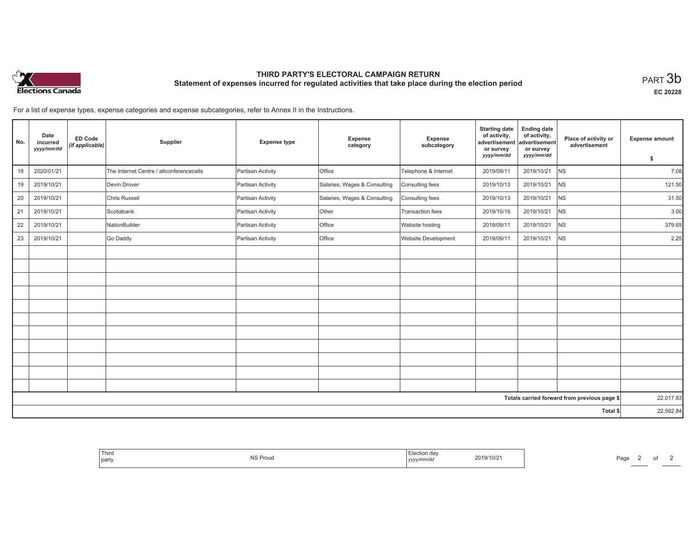

# **THIRD PARTY'S ELECTORAL CAMPAIGN RETURN Statement of expenses incurred for regulated activities that take place during the election period**<br>PART  $3\mathsf{b}$

**EC 20228**

For a list of expense types, expense categories and expense subcategories, refer to Annex II in the Instructions.

| No. | Date<br>incurred<br>yyyy/mm/dd | <b>ED Code</b><br>(if applicable) | Supplier                                 | <b>Expense type</b> | <b>Expense</b><br>category   | Expense<br>subcategory | <b>Starting date</b><br>of activity,<br>advertisement<br>or survey | <b>Ending date</b><br>of activity,<br>advertisement<br>or survey | Place of activity or<br>advertisement        | <b>Expense amount</b> |
|-----|--------------------------------|-----------------------------------|------------------------------------------|---------------------|------------------------------|------------------------|--------------------------------------------------------------------|------------------------------------------------------------------|----------------------------------------------|-----------------------|
|     |                                |                                   |                                          |                     |                              |                        | yyyy/mm/dd                                                         | yyyy/mm/dd                                                       |                                              | \$                    |
| 18  | 2020/01/21                     |                                   | The Internet Centre / allconferencecalls | Partisan Activity   | <b>Office</b>                | Telephone & Internet   | 2019/09/11                                                         | 2019/10/21                                                       | <b>NS</b>                                    | 7.08                  |
| 19  | 2019/10/21                     |                                   | Devin Drover                             | Partisan Activity   | Salaries, Wages & Consulting | Consulting fees        | 2019/10/13                                                         | 2019/10/21                                                       | N <sub>S</sub>                               | 121.50                |
| 20  | 2019/10/21                     |                                   | Chris Russell                            | Partisan Activity   | Salaries, Wages & Consulting | Consulting fees        | 2019/10/13                                                         | 2019/10/21                                                       | <b>NS</b>                                    | 31.50                 |
| 21  | 2019/10/21                     |                                   | Scotiabank                               | Partisan Activity   | Other                        | Transaction fees       | 2019/10/16                                                         | 2019/10/21                                                       | N <sub>S</sub>                               | 3.00                  |
| 22  | 2019/10/21                     |                                   | NationBuilder                            | Partisan Activity   | Office                       | Website hosting        | 2019/09/11                                                         | 2019/10/21                                                       | N <sub>S</sub>                               | 379.65                |
| 23  | 2019/10/21                     |                                   | Go Daddy                                 | Partisan Activity   | Office                       | Website Development    | 2019/09/11                                                         | 2019/10/21                                                       | N <sub>S</sub>                               | 2.25                  |
|     |                                |                                   |                                          |                     |                              |                        |                                                                    |                                                                  |                                              |                       |
|     |                                |                                   |                                          |                     |                              |                        |                                                                    |                                                                  |                                              |                       |
|     |                                |                                   |                                          |                     |                              |                        |                                                                    |                                                                  |                                              |                       |
|     |                                |                                   |                                          |                     |                              |                        |                                                                    |                                                                  |                                              |                       |
|     |                                |                                   |                                          |                     |                              |                        |                                                                    |                                                                  |                                              |                       |
|     |                                |                                   |                                          |                     |                              |                        |                                                                    |                                                                  |                                              |                       |
|     |                                |                                   |                                          |                     |                              |                        |                                                                    |                                                                  |                                              |                       |
|     |                                |                                   |                                          |                     |                              |                        |                                                                    |                                                                  |                                              |                       |
|     |                                |                                   |                                          |                     |                              |                        |                                                                    |                                                                  |                                              |                       |
|     |                                |                                   |                                          |                     |                              |                        |                                                                    |                                                                  |                                              |                       |
|     |                                |                                   |                                          |                     |                              |                        |                                                                    |                                                                  |                                              |                       |
|     |                                |                                   |                                          |                     |                              |                        |                                                                    |                                                                  | Totals carried forward from previous page \$ | 22,017.83             |
|     |                                |                                   |                                          |                     |                              |                        |                                                                    |                                                                  | Total \$                                     | 22,562.84             |

| 2019/10/21<br><b>NS Proud</b><br>party<br>yyyy/mm/dd |
|------------------------------------------------------|
|------------------------------------------------------|

Page 2 of 2